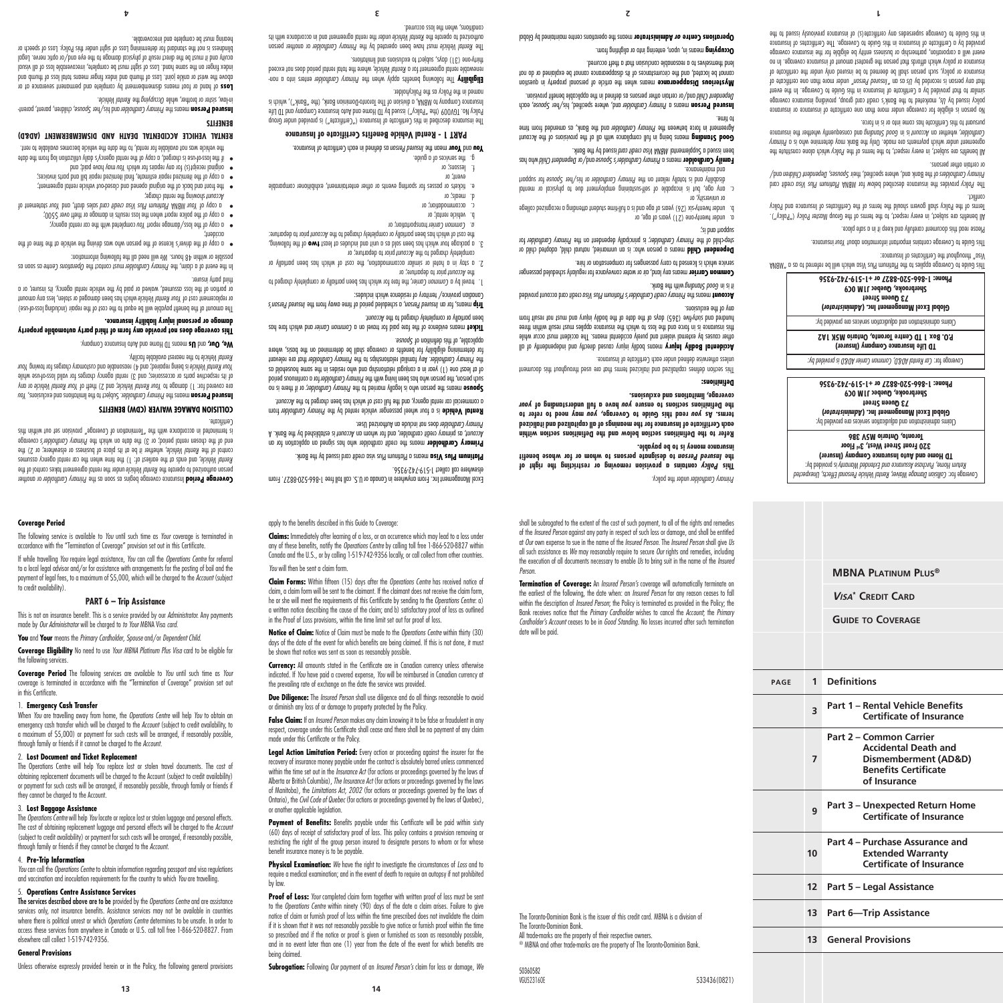services only, not insurance benefits. Assistance services may not be available in countries where there is political unrest or which *Operations Centre* determines to be unsafe. In order to access these services from anywhere in Canada or U.S. call toll free 1-866-520-8827. From elsewhere call collect 1-519-742-9356.

#### **General Provisions**

**Coverage Period**

to credit availability).

the following services.

in this Certificate.

1. **Emergency Cash Transfer**

they cannot be charged to the Account. 3. **Lost Baggage Assistance**

4. **Pre-Trip Information**

#### to the *Operations Centre* within ninety (90) days of the date a claim arises. Failure to give notice of claim or furnish proof of loss within the time prescribed does not invalidate the claim if it is shown that it was not reasonably possible to give notice or furnish proof within the time so prescribed and if the notice or proof is given or furnished as soon as reasonably possible and in no event later than one (1) year from the date of the event for which benefits are

being claimed.

benefit insurance money is to be payable. **Physical Examination:** We have the right to investigate the circumstances of *Loss* and to require a medical examination; and in the event of death to require an autopsy if not prohibited by law. Proof of Loss: *Your* completed claim form together with written proof of loss must be sent

**Subrogation:** Following *Our* payment of an *Insured Person's* claim for loss or damage, *We*

restricting the right of the group person insured to designate persons to whom or for whose

or another applicable legislation. Payment of Benefits: Benefits payable under this Certificate will be paid within sixty (60) days of receipt of satisfactory proof of loss. This policy contains a provision removing or

of Manitoba), the *Limitations Act, 2002* (for actions or proceedings governed by the laws of Ontario), the *Civil Code of Quebec* (for actions or proceedings governed by the laws of Quebec),

**Legal Action Limitation Period:** Every action or proceeding against the insurer for the recovery of insurance money payable under the contract is absolutely barred unless commenced within the time set out in the *Insurance Act* (for actions or proceedings governed by the laws of Alberta or British Columbia), *The Insurance Act* (for actions or proceedings governed by the laws

**False Claim:** If an *Insured Person* makes any claim knowing it to be false or fraudulent in any respect, coverage under this Certificate shall cease and there shall be no payment of any claim made under this Certificate or the Policy.

**Due Diligence:** The *Insured Person* shall use diligence and do all things reasonable to avoid or diminish any loss of or damage to property protected by the Policy.

**Currency:** All amounts stated in the Certificate are in Canadian currency unless otherwise indicated. If *You* have paid a covered expense, *You* will be reimbursed in Canadian currency at the prevailing rate of exchange on the date the service was provided.

**Notice of Claim:** Notice of Claim must be made to the *Operations Centre* within thirty (30) days of the date of the event for which benefits are being claimed. If this is not done, it must be shown that notice was sent as soon as reasonably possible.

**Claim Forms:** Within fifteen (15) days after the *Operations Centre* has received notice of claim, a claim form will be sent to the claimant. If the claimant does not receive the claim form, he or she will meet the requirements of this Certificate by sending to the *Operations Centre*: a) a written notice describing the cause of the claim; and b) satisfactory proof of loss as outlined in the Proof of Loss provisions, within the time limit set out for proof of loss.

#### *You* will then be sent a claim form.

**Claims:** Immediately after learning of a loss, or an occurrence which may lead to a loss under any of these benefits, notify the *Operations Centre* by calling toll free 1-866-520-8827 within Canada and the U.S., or by calling 1-519-742-9356 locally, or call collect from other countries.

Excel Management Inc. From anywhere in Canada or U.S. call toll free 1-866-520-8827. From

 from *Primary Cardholder* is a four wheel passenger vehicle rented by the **Rental Vehicle** a commercial car rental agency, and the full cost of which has aben charged to the Account. **Spouse** means the person who is legally married to the Primary Cardholder; or if there is no for a continuous person who has been living with the *Primary Cardholder* for a confinitious period of at least one (1) year in a conjugal relationship and who resides in the same household as that are relevant *Primary Cardholder* . Any familial relationships to the *Primary Cardholder* the for determining eligibility for benefits or coverage shall be determined on the basis, where

Ticket means evidence of the fare jare has a common Carrier and which fare has

*Insured Person's* , a scheduled period of time away from the *Insured Person* means, for an **Trip**

). The farm of common camer, the fare for which has been partially or completely charged to

2. a stay in a hotel or similar accommodation, the cost of which has been partially or

3. a package tour which has been sold as a bing includes at least **two** of the following, the cost of which has been partially or completely charged to the Account prior to departure:

e. fickets or passes for sporting events or other entertainment, exhibitioner comparable

 means a Platinum Plus visa credit card issued by the Bank. **Platinum Plus Visa Primary Cardholder** means the credit cardholder who has signed an application for an is established by the Bank. A *Account* , as primary credit cardholder, and for whom an *Account*

elsewhere call collect 1-519-742-9356.

asuoq2 to noitinitab *zirth* to *delabiliqqp* 

prior to departure; or *Account* the

transportation; or *Common Carrier a.*

b. vehicle rental; or c. accommodation; or d. meals; or

event; or lessons; or the services of a guide.

been partially or completely charged to the Account.

Canadian province/ territory of residence which includes:

prior to departure; or *Account* completely charged to the

Primary Cardholder does not include an Authorized User.

apply to the benefits described in this Guide to Coverage:

 or another *Primary Cardholder* Insurance coverage begins as soon as the **Coverage Period** under the rental agreement takes control of the *Rental Vehicle* person authorized to operate the , and ends at the earliest of: 1) the time when the car rental agency assumes *Rental Vehicle* control of the Kental Vehicle, whether it be at its place of business or elsewhere; or 2) the end of the chosen rental period; or 3) the date on which the Primary Cardholder's coverage cidt nintiw tuo tez noizivong "egorevo) to noitonimel" edt dtiw exnobrosso ni betonimet zi

The following service is available to *You* until such time as *Your* coverage is terminated in accordance with the "Termination of Coverage" provision set out in this Certificate. If while travelling *You* require legal assistance, *You* can call the *Operations Centre* for referral to a local legal advisor and/or for assistance with arrangements for the posting of bail and the payment of legal fees, to a maximum of \$5,000, which will be charged to the *Account* (subject

**PART 6 – Trip Assistance** This is not an insurance benefit. This is a service provided by our *Administrator.* Any payments

**Coverage Eligibility** No need to use *Your MBNA Platinum Plus Visa* card to be eligible for

**Coverage Period** The following services are available to *You* until such time as *Your* coverage is terminated in accordance with the "Termination of Coverage" provision set out

When *You* are travelling away from home, the *Operations Centre* will help *You* to obtain an emergency cash transfer which will be charged to the *Account* (subject to credit availability, to a maximum of \$5,000) or payment for such costs will be arranged, if reasonably possible,

The Operations Centre will help You replace lost or stolen travel documents. The cost of obtaining replacement documents will be charged to the Account (subject to credit availability) or payment for such costs will be arranged, if reasonably possible, through family or friends if

The *Operations Centre* will help *You* locate or replace lost or stolen luggage and personal effects. The cost of obtaining replacement luggage and personal effects will be charged to the *Account* (subject to credit availability) or payment for such costs will be arranged, if reasonably possible,

*You* can call the *Operations Centre* to obtain information regarding passport and visa regulations and vaccination and inoculation requirements for the country to which *You* are travelling.

The services described above are to be provided by the *Operations Centre* and are assistance

made by *Our Administrator* will be charged to *to Your* MBNA Visa *card.* **You** and **Your** means the *Primary Cardholder*, *Spouse* and/or *Dependent Child*.

through family or friends if it cannot be charged to the *Account*. 2. **Lost Document and Ticket Replacement**

through family or friends if they cannot be charged to the *Account*.

5. **Operations Centre Assistance Services**

# Certificate.

# **COLLISION DAMAGE WAIVER (CDW) BENEFITS**

*Your Example Lease were the subject of the limitations and exclusions***,** *You*  or any *Your Rental Vehicle* ; and 2) theft of *Your Rental Vehicle* are covered for: 1) damage to of its respective parts or accessories; and 3) rental agency charges for valid loss-of-use while *Your* is being repaired; and 4) reasonable and customary charges for towing *Your Rental Vehicle*

to the nearest available facility. *Rental Vehicle*

**Me, OUT,** and US means ID Home and Auto Insurance Lompany.

**This coverage does not provide any form of third party automobile property** 

## **damage or personal injury liability insurance.**

The amount of the benefit payable will be equal to the cost of the repair (including loss-of-use) or replacement cost of Your Rental Vehicle which has been damaged or stolen, less any amount

or portion of the loss assumed, waived or paid by the vehicle rental agency, its insurer, or a third party insurer.

In the event ot claim, the *Primary Cardholder* must contact the *Uperations Centre* as oson as will need all the following the following information:

of the driver's license of the person who was driving the vehicle at the time of the

- 
- accident; **Complete with the loss/damage report you completed with the rental agency**
- a copy of the police report when the loss results in damage or theft over  $5500$ ;
- 
- o tremetate ruoy brin *Abob as as a cardit card sales draft*, and *Your sush in the memant* of
- showing the rental charge; *Account*
- $\bullet$  the front and back of the original opened and closed-out vehicle rental agreement; a copy of the itemized repair estimate, final itemized repair bill and parts invoices; •
- may have paid to paid *and the land is and a you which you and the land;* and
- if the loss-of-use is charged, a copy of the rental agency's daily utilization log from the date

the vehicle was not available for rental, to the date the vehicle becomes available to rent.

# **RENTAL VEHICLE ACCIDENTAL DEATH AND DISMEMBERMENT (AD&D)**

**BENEFITS**

, children, parent, parent- *Spouse* and his/her *Primary Cardholder* means the **Insured Person**

m-law, sister or brother, while *Occupying* the Rental Vehicle.

 of hand or foot means dismemberment by complete and permanent severance at or **Loss** bno dmunt to asol lotot anoom tognit xebni bno dmunt to asol thioi elaho to taiw ent evodo index finger on the same hand. Loss of sight must be complete, intecoverable loss of all visual acuity and it must be the direct result of physical damage to the eye and/or optic nerve. Legal

blindness is not the standard for determining Loss of sight under this Policy. Loss of speech or

hearing must be complete and irrecoverable.

named in the Policy as the Policyholder.

enters into a non- *Primary Cardholder* The following benefits apply when the **Eligibility**

renewable rental ageoment for a Rental Vehicle, where the total adding a rental agreed thirty-one (31) days, subject to exclusions and limitations.

The Rental Vehicle must have been operated by the Primary Cardholder or another person

 as defined in each Certificate of Insurance. *Insured Person* mean the **Your** and **You PART 1 - Rental Vehicle Benefits Certificate of Insurance** The insurance described in this Certificate of Insurance ("Certificate") is provided under Group Policy No. TGV009 (the "Policy") issued by TD Home and Auto Insurance Company and TD Life Insurance Company to MBNA, a division of The Toronto-Dominion Bank, (the "Bank"), which is

under the rental agreement and accordance with appearance with its *Reithian* outleance with  $\sin \theta$ 

**4 3 2 1** conditions, when the loss occurred.

lend themselves to a reasonable conclusion that a theft occurred. means in, upon, entering into or alighting from. **Occupying**

**MBNA Platinum Plus®**

*Collision Damage Waiver, Rental Vehicle Personal Effects, Unexpected* Coverage for: is provided by: *Return Home, Purchase Assurance and Extended Warranty*  **TD Home and Auto Insurance Company (Insurer) 320 Front Street West, 3rd Floor Toronto, Ontario M5V 3B6** Claims administration and adjudication services are provided by: **)** *Administrator* **Global Excel Management Inc. ( 73 Queen Street Sherbrooke, Quebec J1M 0C9 Phone: 1-866-520-8827 or +1-519-742-9356**

*Car Rental AD&D, Common Carrier AD&D is provided by:* Coverage for: **TD Life Insurance Company (Insurer) P.O. Box 1 TD Centre Toronto, Ontario M5K 1A2** Claims administration and adjudication services are provided by: **)** *Administrator* **Global Excel Management Inc. ( 73 Queen Street Sherbrooke, Quebec J1M 0C9 Phone: 1-866-520-8827 or +1-519-742-9356** This Guide to Coverage applies to the Platinum Plus Visa which will be referred to a "MBNA" and a "All MA

lhis Guide to Coverage contains intertour intornation about Your insurance. Please read this document carefully and keep it in a safe place.

All benefits are subject, in every respect, to the terms of the Group Master Policy ("Policy"). Terms of the Policy shall govern should the terms of the Certificates of Insurance and Policy

The *Policy* provides the insurance described below for MBNA Annim Plus Visa credit can and/ *Children Dependent* , *Spouses* of the Bank and, where specified, their *Primary Cardholders*

All benefits are subject, in every respect, to the ferms of the *Policy* which alone constitute the *Primary* agreement under which payments are made. Only the Bank may determine who is a Candholdsr, whether an *Account* is in Good Standing and consequently whether the insurance

No person is eligible for coverage under more than one certificate of insurance or insurance bolicy issued by Us, marketed to the Bank's credit card group, providing insurance coverage similar to that provided by a Certificate of Insurance in this Guide to Coverage. In the event to etoblities and more than one certificate of *Person*, under more than one certificate of *insurines* in that any person is an any person is that any person is any person is an information of insurance or policy, such person shall be deemed to be insured only under the certificate of insurance or policy which affords that person the greatest amount of insurance coverage. In no event will a corporation, partnership or business entity be eligible for the insurance coverage provided by a Certificate of Insurance in this Guide to Coverage. The Certificates of Insurance in this Guide to Coverage supersedes any certificate (s) of corrections and insure previously in the

Visa" throughout the Certificates of Insurance:

pursuant to this Certificate has come into or is in force.

conflict.

or certain other persons.

**<sup>V</sup>isa\* Credit Card**

**Guide to Coverage**

**<sup>3</sup> Part 1 – Rental Vehicle Benefits** 

**<sup>9</sup> Part 3 – Unexpected Return Home** 

**Part 4 – Purchase Assurance and Extended Warranty Certificate of Insurance**

**12 Part 5 – Legal Assistance**

**13 Part 6—Trip Assistance**

**13 General Provisions**

**Part 2 – Common Carrier** 

**Certificate of Insurance**

**Accidental Death and Dismemberment (AD&D) Benefits Certificate of Insurance**

**Certificate of Insurance**

**page 1 Definitions**

**7**

**10**

This section defines capitalized and italicized terms that are used throughout this document unless otherwise defined under each Certificate of Insurance. **Mccidental Bodily Injury means bodily inly caused directly brow independently of all** 

other causes by external violent and purely accidental means. The accident must occur while this insurance is in force and the loss to which the insurance applies must result within three mundred ond sixty-five (365) days of the date the bodily injury and must not result from

credit card account provided *Visa Primary credit Cardholder's Platinum Plus* means the **Account**

means any land, air or water conveyance for regularly scheduled passenger **Common Carrier**

Dependent Child means a person who: is an unmarried, natural child, adopted child or for *Primary Cardholder* is principally dependent on the *Primary Cardholder;* step-child of the

under twenty-six (26) years of age and is a full-time student attending a recognized college b.

any age, but is incapable of self-sustaining employment due to physical or mental tooqque tot sexvoq2 terl\zid to yeblorthol *Q*uning ert no tripli<del>o</del>t disability totally reliant on the total on the total on the total on the total on the total on the total on the total on the total on the total on the t **Eamily Cardholder means a Primary Cardholder's Spouse and/or Dependent Child who has** 

Good Standing means being in full compliance with all of the provisions of the Account Agreement in torce between the *Primary Cardholder* and the Bank, as approach trom time

**Exampled Leacou** where a Lumary Cardholder and, where specified, her *Prouse*, each Dependent Child and/or certain other persons as defined in the applicable benefit provision. mysterious **Disappearance** means when the article of personal property in question cannot be located, and the circumstances of its disappearance cannot be explained or do not

**Dperations Centre or Administrator** means the operations centre maintained by Global

service which is licensed to carry passengers for compensation or hire.

been issued a Supplemembal WBM Visa credit card been is day the Bank.

#### **Definitions:**

any of the exclusions.

support and indefine

to time.

or university, or

who body and the Bank. *Buith Buith Stands* in start

under twenty-one (21) years of age, or

under the policy. *Primary Cardholder*

 **may need to refer to** *you* **read this Guide to Coverage,** *you* **terms. As**  *your* **have a full understanding of** *you* **the Definitions sections to ensure coverage, limitations and exclusions.** 

shall be subrogated to the extent of the cost of such payment, to all of the rights and remedies of the *Insured Person* against any party in respect of such loss or damage, and shall be entitled at *Our* own expense to sue in the name of the *Insured Person*. The *Insured Person* shall give *Us* all such assistance as *We* may reasonably require to secure *Our* rights and remedies, including the execution of all documents necessary to enable *Us* to bring suit in the name of the *Insured* 

Folicy contains a provision removing or restricting the right of  **to designate persons to whom or for whose benefit** *Insured Person* **the** 

**Termination of Coverage:** An *Insured Person's* coverage will automatically terminate on the earliest of the following, the date when: an *Insured Person* for any reason ceases to fall within the description of *Insured Person*; the Policy is terminated as provided in the Policy; the Bank receives notice that the *Primary Cardholder* wishes to cancel the *Account*; the *Primary Cardholder's Account* ceases to be in *Good Standing*. No losses incurred after such termination

The Toronto-Dominion Bank is the issuer of this credit card. MBNA is a division of

® MBNA and other trade-marks are the property of The Toronto-Dominion Bank.

533436(0821)

All trade-marks are the property of their respective owners.

The Toronto-Dominion Bank.

50360582<br>VGU523160E

*Person*.

date will be paid.

**Refer to the Definitions section below and the Definitions section within each Certificate of Insurance for the meanings of all capitalized and italicized** 

**insurance money is to be payable.**